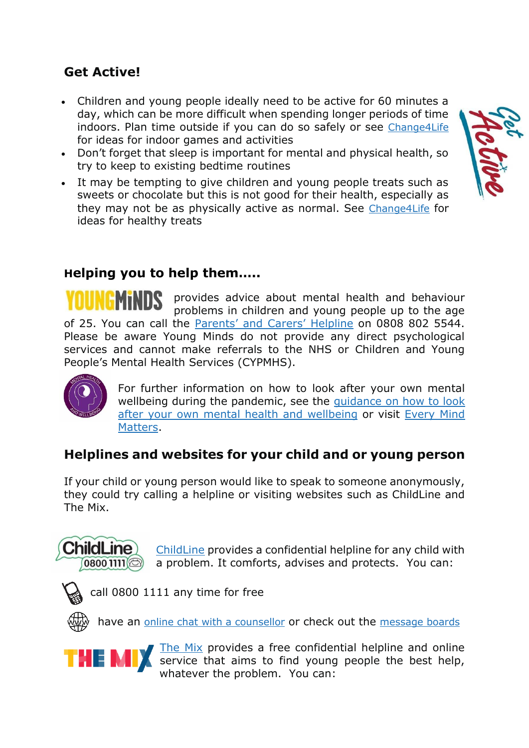# **Get Active!**

- Children and young people ideally need to be active for 60 minutes a day, which can be more difficult when spending longer periods of time indoors. Plan time outside if you can do so safely or see [Change4Life](https://www.nhs.uk/change4life) for ideas for indoor games and activities
- Don't forget that sleep is important for mental and physical health, so try to keep to existing bedtime routines
- It may be tempting to give children and young people treats such as sweets or chocolate but this is not good for their health, especially as they may not be as physically active as normal. See [Change4Life](https://www.nhs.uk/change4life) for ideas for healthy treats

# **Helping you to help them…..**

**MINDS** provides advice about mental health and behaviour problems in children and young people up to the age of 25. You can call the [Parents'](https://youngminds.org.uk/find-help/for-parents/parents-helpline/) and Carers' Helpline on 0808 802 5544. Please be aware Young Minds do not provide any direct psychological services and cannot make referrals to the NHS or Children and Young People's Mental Health Services (CYPMHS).



For further information on how to look after your own mental wellbeing during the pandemic, see the [guidance](https://www.gov.uk/government/publications/covid-19-guidance-for-the-public-on-mental-health-and-wellbeing) on how to look after your own mental health and [wellbeing](https://www.gov.uk/government/publications/covid-19-guidance-for-the-public-on-mental-health-and-wellbeing) or visit [Every](https://www.nhs.uk/oneyou/every-mind-matters/) Mind [Matters.](https://www.nhs.uk/oneyou/every-mind-matters/)

## **Helplines and websites for your child and or young person**

If your child or young person would like to speak to someone anonymously, they could try calling a helpline or visiting websites such as ChildLine and The Mix.



[ChildLine](https://www.childline.org.uk/Pages/Home.aspx) provides a confidential helpline for any child with a problem. It comforts, advises and protects. You can:



call 0800 1111 any time for free

have an online chat with a [counsellor](https://www.childline.org.uk/get-support/1-2-1-counsellor-chat/) or check out the [message](https://www.childline.org.uk/get-support/message-boards/) boards



[The](http://www.themix.org.uk/) Mix provides a free confidential helpline and online service that aims to find young people the best help, whatever the problem. You can: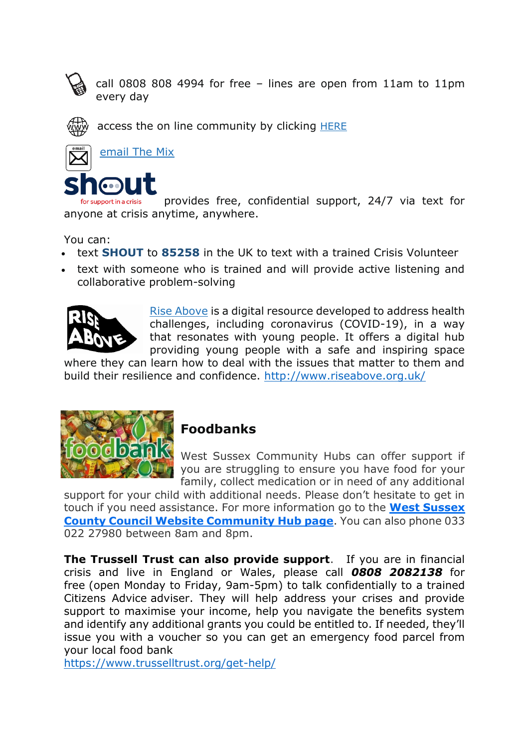

call 0808 808 4994 for free – lines are open from 11am to 11pm every day



access the on line community by clicking [HERE](https://community.themix.org.uk/)



[email](http://www.themix.org.uk/get-support/speak-to-our-team/email-us) The Mix



provides free, confidential support, 24/7 via text for for support in a crisis anyone at crisis anytime, anywhere.

You can:

- text **SHOUT** to **85258** in the UK to text with a trained Crisis Volunteer
- text with someone who is trained and will provide active listening and collaborative problem-solving



Rise [Above](http://www.riseabove.org.uk/) is a digital resource developed to address health challenges, including coronavirus (COVID-19), in a way that resonates with young people. It offers a digital hub providing young people with a safe and inspiring space

where they can learn how to deal with the issues that matter to them and build their resilience and confidence.<http://www.riseabove.org.uk/>



## **Foodbanks**

West Sussex Community Hubs can offer support if you are struggling to ensure you have food for your family, collect medication or in need of any additional

support for your child with additional needs. Please don't hesitate to get in touch if you need assistance. For more information go to the **West [Sussex](https://www.westsussex.gov.uk/leisure-recreation-and-community/supporting-local-communities/community-hub-covid-19/#overview) County Council Website [Community](https://www.westsussex.gov.uk/leisure-recreation-and-community/supporting-local-communities/community-hub-covid-19/#overview) Hub page**. You can also phone 033 022 27980 between 8am and 8pm.

**The Trussell Trust can also provide support**. If you are in financial crisis and live in England or Wales, please call *0808 2082138* for free (open Monday to Friday, 9am-5pm) to talk confidentially to a trained Citizens Advice adviser. They will help address your crises and provide support to maximise your income, help you navigate the benefits system and identify any additional grants you could be entitled to. If needed, they'll issue you with a voucher so you can get an emergency food parcel from your local food bank

<https://www.trusselltrust.org/get-help/>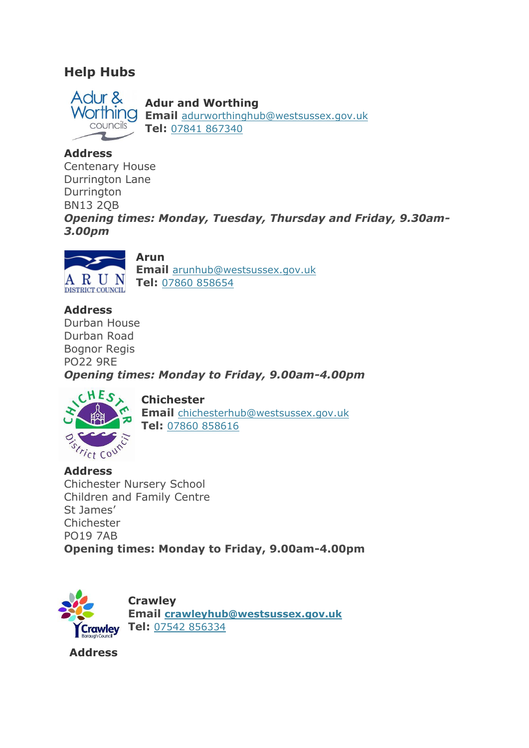## **Help Hubs**



#### **Adur and Worthing**

**Email** [adurworthinghub@westsussex.gov.uk](mailto:adurworthinghub@westsussex.gov.uk) **Tel:** 07841 [867340](tel:07841%20867340)

### **Address**

Centenary House Durrington Lane Durrington BN13 2QB *Opening times: Monday, Tuesday, Thursday and Friday, 9.30am-3.00pm* 



**Arun Email** [arunhub@westsussex.gov.uk](mailto:arunhub@westsussex.gov.uk) **Tel:** 07860 [858654](tel:07860%20858654)

**Address** Durban House Durban Road Bognor Regis PO22 9RE

*Opening times: Monday to Friday, 9.00am-4.00pm* 



**Chichester Email** [chichesterhub@westsussex.gov.uk](mailto:chichesterhub@westsussex.gov.uk) **Tel:** 07860 [858616](tel:07860%20858616)

**Address** Chichester Nursery School Children and Family Centre St James' Chichester PO19 7AB **Opening times: Monday to Friday, 9.00am-4.00pm** 



**Crawley Email [crawleyhub@westsussex.gov.uk](mailto:crawleyhub@westsussex.gov.uk) Crawley Tel: 07542 [856334](tel:07542%20856334)** 

**Address**